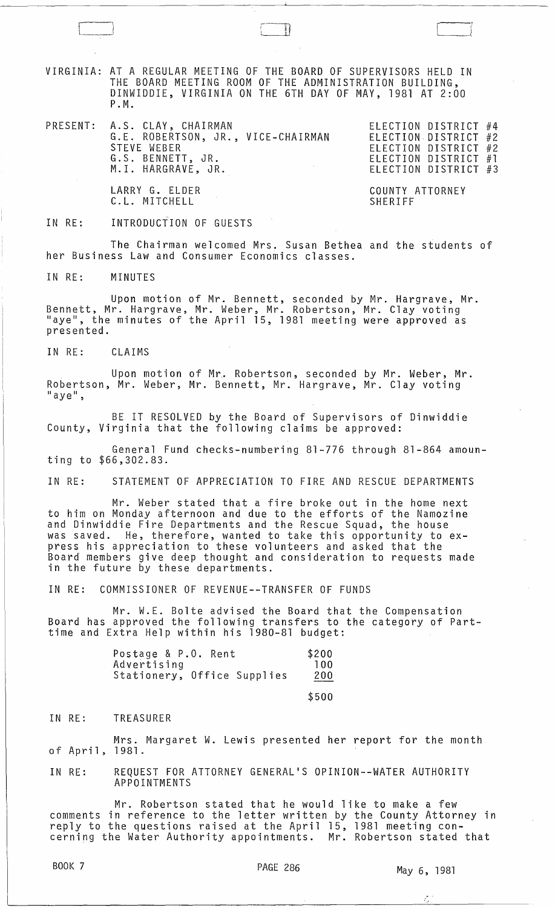VIRGINIA: AT A REGULAR MEETING OF THE BOARD OF SUPERVISORS HELD IN THE BOARD MEETING ROOM OF THE ADMINISTRATION BUILDING, DINWIDDIE, VIRGINIA ON THE 6TH DAY OF MAY, 1981 AT 2:00 P.M.

 $\begin{smallmatrix} \begin{array}{c} \begin{array}{c} \end{array} \\ \end{array}$ 

PRESENT: A.S. CLAY, CHAIRMAN ELECTION DISTRICT #4 G.E. ROBERTSON, JR., VICE-CHAIRMAN STEVE WEBER<br>G.S. BENNETT G.S. BENNETT, JR. M. I. HARGRAVE, JR.

ELECTION DISTRICT #2 ELECTION DISTRICT #2 ELECTION DISTRICT #1 ELECTION DISTRICT #3

LARRY G. ELDER C.L. MITCHELL

COUNTY ATTORNEY SHERIFF

IN RE: INTRODUCTION OF GUESTS

The Chairman welcomed Mrs. Susan Bethea and the students of her Business Law and Consumer Economics classes.

IN RE: MINUTES

Upon motion of Mr. Bennett, seconded by Mr. Hargrave, Mr. Bennett, Mr. Hargrave, Mr. Weber, Mr. Robertson, Mr. Clay voting<br>"aye", the minutes of the April 15, 1981 meeting were approved as presented.

IN RE: CLAIMS

Upon motion of Mr. Robertson, seconded by Mr. Weber, Mr. Robertson, Mr. Weber, Mr. Bennett, Mr. Hargrave, Mr. Clay voting "aye",

BE IT RESOLVED by the Board of Supervisors of Dinwiddie County, Virginia that the following claims be approved:

General Fund checks-numbering 81-776 through 81-864 amounting to \$66,302.83.

IN RE: STATEMENT OF APPRECIATION TO FIRE AND RESCUE DEPARTMENTS

Mr. Weber stated that a fire broke out in the home next to him on Monday afternoon and due to the efforts of the Namozine and Dinwiddie Fire Departments and the Rescue Squad, the house was saved. He, therefore, wanted to take this opportunity to express his appreciation to these volunteers and asked that the .<br>Board members give deep thought and consideration to requests made in the future by these departments.

IN RE: COMMISSIONER OF REVENUE--TRANSFER OF FUNDS

Mr. W.E. Bolte advised the Board that the Compensation Board has approved the following transfers to the category of Parttime and Extra Help within his 1980-81 budget:

| Postage & P.O. Rent         | \$200 |
|-----------------------------|-------|
| Advertising                 | 100   |
| Stationery, Office Supplies | 200   |
|                             |       |

\$500

## IN RE: TREASURER

Mrs. Margaret W. Lewis presented her report for the month of April, 1981.

IN RE: REQUEST FOR ATTORNEY GENERAL'S OPINION--WATER AUTHORITY APPOINTMENTS

Mr. Robertson stated that he would like to make a few comments in reference to the letter written by the County Attorney in reply to the questions raised at the April 15, 1981 meeting concerning the Water Authority appointments. Mr. Robertson stated that

 $\frac{1}{2}$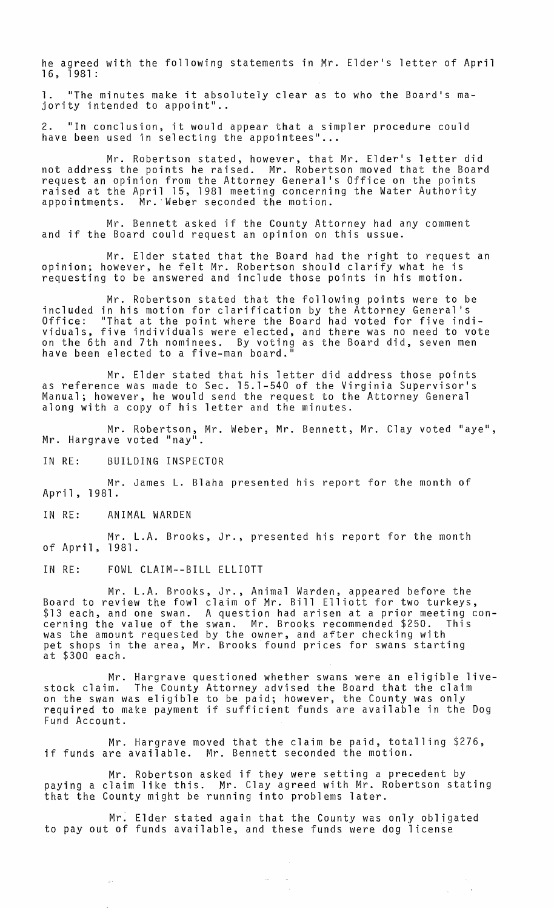he agreed with the following statements in Mr. Elder's letter of April 16, 1981:

1. "The minutes make it absolutely clear as to who the Board's majority intended to appoint"..

2. "In conclusion, it would appear that a simpler procedure could have been used in selecting the appointees" ...

Mr. Robertson stated, however, that Mr. Elder's letter did not address the points he raised. Mr. Robertson moved that the Board request an opinion from the Attorney General's Office on the points raised at the April 15, 1981 meeting concerning the Water Authority appointments. Mr. 'Weber seconded the motion.

Mr. Bennett asked if the County Attorney had any comment and if the Board could request an opinion on this ussue.

Mr. Elder stated that the Board had the right to request an oplnlon; however, he felt Mr. Robertson should clarify what he is requesting to be answered and include those points in his motion.

Mr. Robertson stated that the following points were to be included in his motion for clarification by the Attorney General's Office: "That at the point where the Board had voted for five individuals, five individuals were elected, and there was no need to vote on the 6th and 7th nominees. By voting as the Board did, seven men have been elected to a five-man board."

Mr. Elder stated that his letter did address those points as reference was made to Sec. 15.1-540 of the Virginia Supervisor's Manual; however, he would send the request to the Attorney General along with a copy of his letter and the minutes.

Mr. Robertson, Mr. Weber, Mr. Bennett, Mr. Clay voted "aye", Mr. Hargrave voted "nay".

IN RE: BUILDING INSPECTOR

Mr. James L. Blaha presented his report for the month of April, 1981.

IN RE: ANIMAL WARDEN

 $\pi$  .

Mr. L.A. Brooks, Jr., presented his report for the month of April, 1981.

IN RE: FOWL CLAIM--BILL ELLIOTT

Mr. L.A. Brooks, Jr., Animal Warden, appeared before the Board to review the fowl claim of Mr. Bill Elliott for two turkeys,<br>\$13 each, and one swan. A question had arisen at a prior meeting con-<br>cerning the value of the swan. Mr. Brooks recommended \$250. This cerning the value of the swan. Mr. Brooks recommended \$250. This was the amount requested by the owner, and after checking with pet shops in the area, Mr. Brooks found prices for swans starting at \$300 each.

Mr. Hargrave questioned whether swans were an eligible livestock claim. The County Attorney advised the Board that the claim on the swan was eligible to be paid; however, the County was only required to make payment if sufficient funds are available in the Dog Fund Account.

Mr. Hargrave moved that the claim be paid, totalling \$276, if funds are available. Mr. Bennett seconded the motion.

Mr. Robertson asked if they were setting a precedent by paying a claim like this. Mr. Clay agreed with Mr. Robertson stating that the County might be running into problems later.

Mr: Elder stated again that the County was only obligated to payout of funds available, and these funds were dog license

 $\mathcal{L}_{\text{max}}$ 

 $\sim$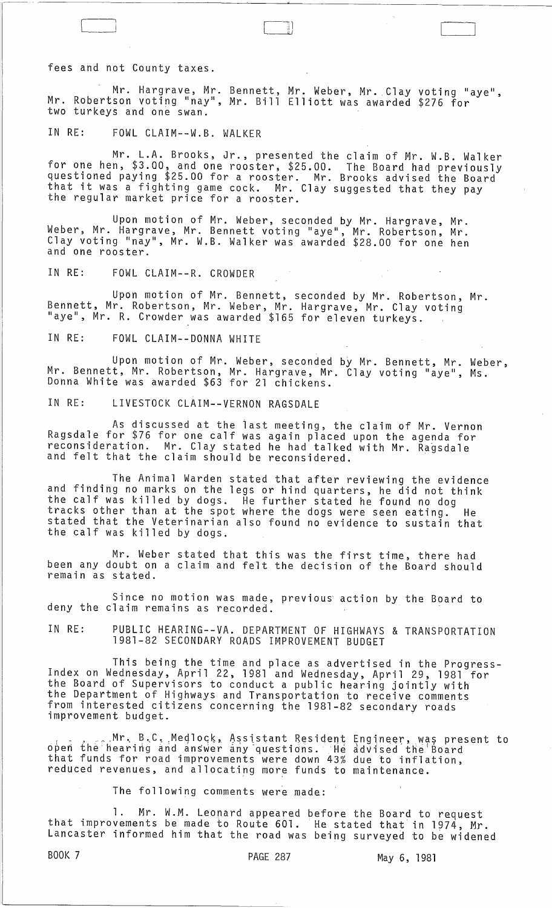fees and not County taxes.

Mr. Hargrave, Mr. Bennett, Mr. Weber, Mr. Clay voting "aye", Mr. Robertson voting "nay", Mr. Bill Elliott was awarded \$276 for two turkeys and one swan.

-~~ .--------------------------~ \_\_\_\_ ~ \_\_\_\_\_\_ L\_ \_\_\_\_\_\_\_\_\_\_\_\_\_\_\_\_\_\_\_\_\_\_\_\_\_\_\_\_\_\_\_\_\_\_\_\_\_\_ \_\_

IN RE: FOWL CLAIM--W.B. WALKER

 $\begin{bmatrix} 1 & 1 \\ 1 & 1 \end{bmatrix}$ 

Mr. L.A. Brooks, Jr., presented the claim of Mr. W.B. Walker for one hen, \$3.00, and one rooster, \$25.00. The Board had previously questioned paying \$25.00 for a rooster. Mr. Brooks advised the Board that it was a fighting game cock. Mr. Clay suggested that they pay the regular market price for a rooster.

Upon motion of Mr. Weber, seconded by Mr. Hargrave, Mr. Weber, Mr. Hargrave, Mr. Bennett voting "aye", Mr. Robertson, Mr. Clay voting "nay", Mr. W.B. Walker was awarded \$28.00 for one hen and one rooster.

IN RE: FOWL CLAIM--R. CROWDER

Upon motion of Mr. Bennett, seconded by Mr. Robertson, Mr. Bennett, Mr. Robertson, Mr. Weber, Mr. Hargrave, Mr. Clay voting "aye", Mr. R. Crowder was awarded \$165 for eleven turkeys.

IN RE: FOWL CLAIM--DONNA WHITE

Upon motion of Mr. Weber, seconded by Mr. Bennett, Mr. Weber, Mr. Bennett, Mr. Robertson, Mr. Hargrave, Mr. Clay voting "aye", Ms. Donna White was awarded \$63 for 21 chickens.

IN RE: LIVESTOCK CLAIM--VERNON RAGSDALE

As discussed at the iast meeting, the claim of Mr. Vernon Ragsdale for \$76 for one calf was again placed upon the agenda for reconsideration. Mr. Clay stated he had talked with Mr. Ragsdale and felt that the claim should be reconsidered.

The Animal Warden stated that after reviewing the evidence and finding no marks on the legs or hind quarters, he did not think the calf was killed by dogs. He further stated he found no dog tracks other than at the spot where the dogs were seen eating. He stated that the Veterinarian also found no evidence to sustain that the calf was killed by dogs.

Mr. Weber stated that this was the first time, there had been any doubt on a claim and felt the decision of the Board should remain as stated.

Since no motion was made, previous action by the Board to deny the claim remains as recorded.

IN RE: PUBLIC HEARING--VA. DEPARTMENT OF HIGHWAYS & TRANSPORTATION 1981-82 SECONDARY ROADS IMPROVEMENT BUDGET

This being the time and place as advertised in the Progress-<br>Index on Wednesday, April 22, 1981 and Wednesday, April 29, 1981 for the Board of Supervisors to conduct a public hearing jointly with the Department of Highways and Transportation to receive comments from interested citizens concerning the 1981-82 secondary roads improvement budget. The motified and issue of secondary

. Mr. B.C. Medlock, Assistant Resident Engineer, was present to open the hearing and answer any questions. He advised the Board that funds for road improvements were down 43% due to inflation, reduced revenues, and allocating more funds to maintenance.

The following comments were made:

1. Mr. W.M. Leonard appeared before the Board to request<br>that improvements be made to Route 601. He stated that in 1974, Mr. Lancaster informed him that the road was being surveyed to be widened

BOOK 7 PAGE 287 May 6, 1981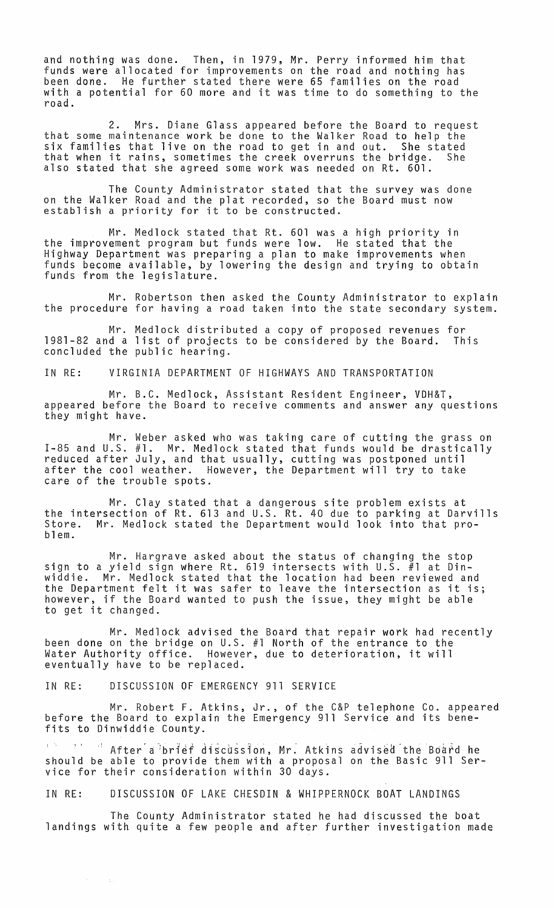and nothing was done. Then, in 1979, Mr. Perry informed him that funds were allocated for improvements on the road and nothing has been done. He further stated there were 65 families on the road with a potential for 60 more and it was time to do something to the road.

2. Mrs. Diane Glass appeared before the Board to request<br>that some maintenance work be done to the Walker Road to help the six families that live on the road to get in and out. She stated that when it rains, sometimes the creek overruns the bridge. She also stated that she agreed some work was needed on Rt. 601.

The County Administrator stated that the survey was done on the Walker Road and the plat recorded, so the Board must now on the waiker koad and the prat recorded, so t<br>establish a priority for it to be constructed.

Mr. Medlock stated that Rt. 601 was a high priority in the improvement program but funds were low. He stated that the Highway Department was preparing a plan to make improvements when funds become available, by lowering the design and trying to obtain funds from the legislature.

Mr. Robertson then asked the County Administrator to explain the procedure for having a road taken into the state secondary system.

Mr. Medlock distributed a copy of proposed revenues for 1981-82 and a list of projects to be considered by the Board. This concluded the public hearing.

IN RE: VIRGINIA DEPARTMENT OF HIGHWAYS AND TRANSPORTATION

Mr. B.C. Medlock, Assistant Resident Engineer, VDH&T, appeared before the Board to receive comments and answer any questions they might have.

Mr. Weber asked who was taking care of cutting the grass on 1-85 and U.S. #1. Mr. Medlock stated that funds would be drastically reduced after July, and that usually, cutting was postponed until after the cool weather. However, the Department will try to take care of the trouble spots.

Mr. Clay stated that a dangerous site problem exists at the intersection of Rt. 613 and U.S. Rt. 40 due to parking at Darvills Store. Mr. Medlock stated the Department would look into that pro-<br>blem.

Mr. Hargrave asked about the status of changing the stop sign to a yield sign where Rt. 619 intersects with U.S. #1 at Dinwiddie. Mr. Medlock stated that the location had been reviewed and the Department felt it was safer to leave the intersection as it is; however, if the Board wanted to push the issue, they might be able nowever, it the border is a more to a line to a more that  $\sim$ 

Mr. Medlock advised the Board that repair work had recently been done on the bridge on U.S. #1 North of the entrance to the Water Authority office. However, due to deterioration, it will eventually have to be replaced.

IN RE: DISCUSSION OF EMERGENCY 911 SERVICE

 $\sim$ 

 $\sim$   $\pm$   $\sim$ 

Mr. Robert F. Atkins, Jr., of the C&P telephone Co. appeared before the Board to explain the Emergency 911 Service and its benefits to Dinwiddie County.

" <sup>"</sup> After a brief discussion, Mr. Atkins advised the Board he should be able to provide them with a proposal on the Basic 911 Service for their consideration within 30 days.

IN RE: DISCUSSION OF LAKE CHESDIN & WHIPPERNOCK BOAT LANDINGS

The County Administrator stated he had discussed the boat landings with quite a few people and after further investigation made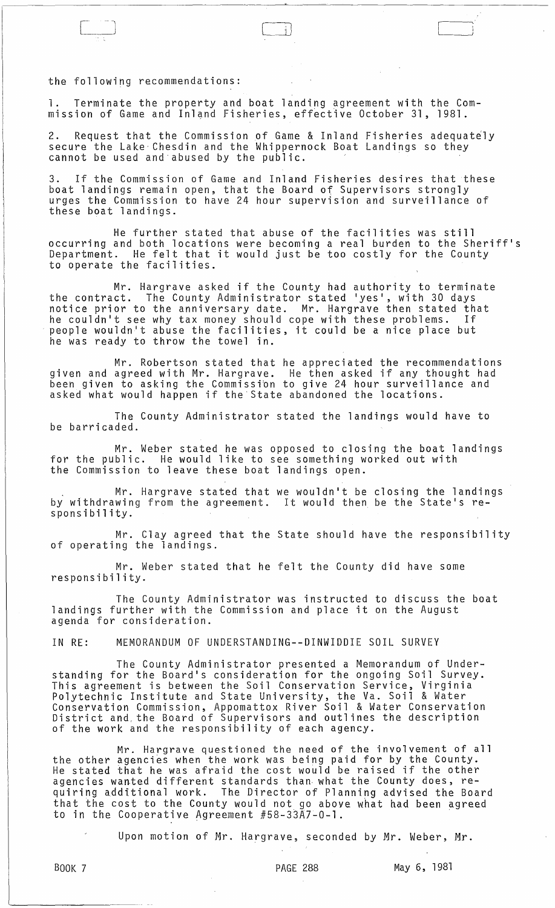the following recommendations:

1. Terminate the property and boat landing agreement with the Commission of Game and Inland Fisheries, effective October 31, 1981.

2. Request that the Commission of Game & Inland Fisheries adequately secure the Lake Chesdin and the Whippernock Boat Landings so they cannot be used and abused by the public.

3. If the Commission of Game and Inland Fisheries desires that these boat landings remain open, that the Board of Supervisors strongly urges the Commission to have 24 hour supervision and surveillance of these boat landings.

He further stated that abuse of the facilities was still occurring and both locations were becoming a real burden to the Sheriff's Department. He felt that it would just be too costly for the County to operate the facilities.

Mr. Hargrave asked if the County had authority to terminate the contract. The County Administrator stated 'yes', with 30 days notice prior to the anniversary date. Mr. Hargrave then stated that he couldn't see why tax money should cope with these problems. If people wouldn't abuse the facilities, it could be a nice place but he was ready to throw the towel in.

Mr. Robertson stated that he appreciated the recommendations *given* and agreed with Mr. Hargrave. He then asked if any thought had been *given* to asking the Commissibn to *give* 24 hour surveillance and asked what would happen if the State abandoned the locations.

The County Administrator stated the landings would have to be barricaded.

Mr. Weber stated he was opposed to closing the boat landings for the public. He would like to see something worked out with the Commission to leave these boat landings open.

. Mr. Hargrave stated that we wouldn't be closing the landings by withdrawing from the agreement. It would then be the State's responsibility.

Mr. Clay agreed that the State should have the responsibility<br>of operating the landings.

Mr. Weber stated that he felt the County did have some responsibility.

The County Administrator was instructed to discuss the boat landings further with the Commission and place it on the August agenda for consideration.

IN RE: MEMORANDUM OF UNDERSTANDING--DINWIDDIE SOIL SURVEY

The County Administrator presented a Memorandum of Understanding for the Board's consideration for the ongoing Soil *Survey.*  This agreement is between the Soil Conservation Service, Virginia Polytechnic Institute and State University, the Va. Soil & Water Conservation Commission, Appomattox River Soil & Water Conservation District and. the Board of Supervisors and outlines the description of the work and the responsibility of each agency.

Mr. Hargrave questioned the need of the involvement of all the other agencies when the work was being paid for by the County. the other agencies when the work was being paid for by the county.<br>He stated that he was afraid the cost would be raised if the other agencies wanted different standards than what the County does, requiring additional work. The Director of Planning advised the Board that the cost to the County would not go above what had been agreed to in the Cooperative Agreement  $#58-33\overline{A}7-0-1$ .

Upon motion of Mr. Hargrave, seconded by Mr. Weber, Mr.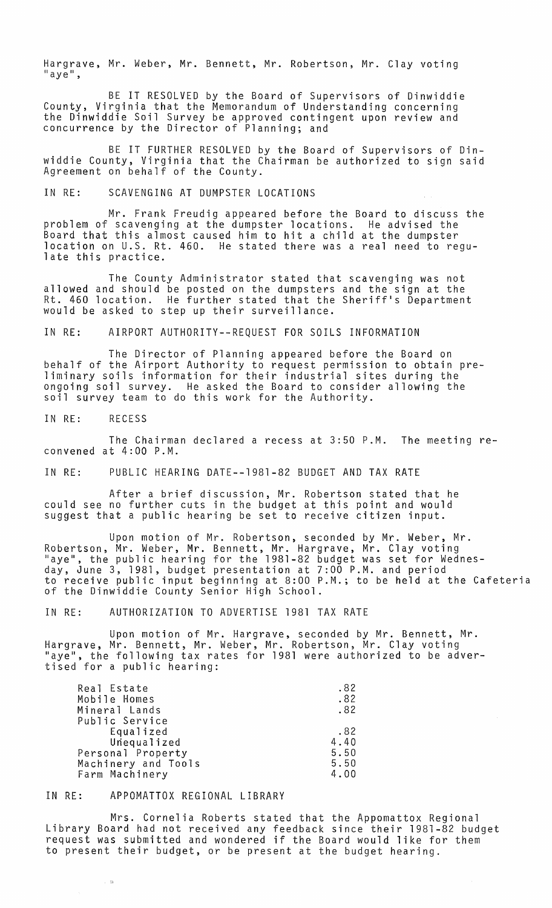Hargrave, Mr. Weber, Mr. Bennett, Mr. Robertson, Mr. Clay voting<br>"aye",

BE IT RESOLVED by the Board of Supervisors of Dinwiddie County, Virginia that the Memorandum of Understanding concerning the Dinwiddie Soil Survey be approved contingent upon review and concurrence by the Director of Planning; and

BE IT FURTHER RESOLVED by the Board of Supervisors of Dinwiddie County, Virginia that the Chairman be authorized to sign said Agreement on behalf of the County.

## IN RE: SCAVENGING AT DUMPSTER LOCATIONS

Mr. Frank Freudig appeared before the Board to discuss the problem of scavenging at the dumpster locations. He advised the Board that this almost caused him to hit a child at the dumpster location on U.S. Rt. 460. He stated there was a real need to regulate this practice.

The County Administrator stated that scavenging was not allowed and should be posted on the dumpsters and the sign at the Rt. 460 location. He further stated that the Sheriff's Department would be asked to step up their surveillance.

IN RE: AIRPORT AUTHORITY--REQUEST FOR SOILS INFORMATION

The Director of Planning appeared before the Board on behalf of the Airport Authority to request permission to obtain preliminary soils information for their industrial sites during the ongoing soil survey. He asked the Board to consider allowing the soil survey team to do this work for the Authority.

IN RE: RECESS

The Chairman declared a recess at 3:50 P.M. The meeting reconvened at 4:00 P.M.

IN RE: PUBLIC HEARING DATE--1981-82 BUDGET AND TAX RATE

After a brief discussion, Mr. Robertson stated that he could see no fUrther cuts in the budget at this point and would suggest that a public hearing be set to receive citizen input.

Upon motion of Mr. Robertson, seconded by Mr. Weber, Mr. Robertson, Mr. Weber, Mr. Bennett, Mr. Hargrave, Mr. Clay voting liaye", the public hearing for the 1981-82 budget was set for Wednesday, June 3, 1981, budget presentation at 7:00 P.M. and period to receive public input beginning at 8:00 P.M.; to be held at the Cafeteria of the Dinwiddie County Senior High School.

IN RE: AUTHORIZATION TO ADVERTISE 1981 TAX RATE

Upon motion of Mr. Hargrave, seconded by Mr. Bennett, Mr. Hargrave, Mr. Bennett, Mr. Weber, Mr. Robertson, Mr. Clay voting "aye", the following tax rates for 1981 were authorized to be advertised for a public hearing:

| Real Estate         | .82  |
|---------------------|------|
| Mobile Homes        | .82  |
| Mineral Lands       | .82  |
| Public Service      |      |
| Equalized           | .82  |
| Unequalized         | 4.40 |
| Personal Property   | 5.50 |
| Machinery and Tools | 5.50 |
| Farm Machinery      | 4.00 |

## IN RE: APPOMATTOX REGIONAL LIBRARY

. H

Mrs. Cornelia Roberts stated that the Appomattox Regional Library Board had not received any feedback since their 1981-82 budget request was submitted and wondered if the Board would like for them to present their budget, or be present at the budget hearing.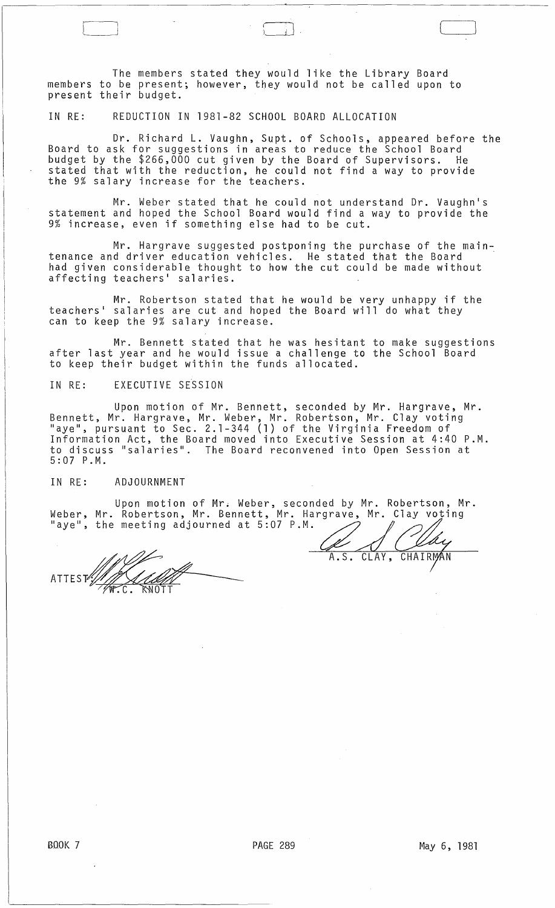The members stated they would like the Library Board members to be present; however, they would not be called upon to present their budget.

IN RE: REDUCTION IN 1981-82 SCHOOL BOARD ALLOCATION

Dr. Richard L. Vaughn, Supt. of Schools, appeared before the Board to ask for suggestions in areas to reduce the School Board budget by the \$266,000 cut given by the Board of Supervisors. He stated that with the reduction, he could not find a way to provide the 9% salary increase for the teachers.

 $\Box$  :

Mr. Weber stated that he could not understand Dr. Vaughn's statement and hoped the School Board would find a way to provide the 9% increase, even if something else had to be cut.

Mr. Hargrave suggested postponing the purchase of the maintenance and driver education vehicles. He stated that the Board had given considerable thought to how the cut could be made without affecting teachers' salaries.

Mr. Robertson stated that he would be very unhappy if the teachers ' salaries are cut and hoped the Board will do what they can to keep the 9% salary increase.

Mr. Bennett stated that he was hesitant to make suggestions after last year and he would issue a challenge to the School Board to keep their budget within the funds allocated.

IN RE: EXECUTIVE SESSION

Upon motion of Mr. Bennett, seconded by Mr. Hargrave, Mr. Bennett, Mr. Hargrave, Mr. Weber, Mr. Robertson, Mr. Clay voting "aye", pursuant to Sec. 2.1-344 (1) of the Virginia Freedom of Information Act, the Board moved into Executive Session at 4:40 P.M. to discuss "salaries". The Board reconvened into Open Session at 5:07 P.M.

IN RE: ADJOURNMENT

Upon motion of Mr. Weber, seconded by Mr. Robertson, Mr. Weber, Mr. Robertson, Mr. Bennett, Mr. Hargrave, Mr. Clay voting "aye", the meeting adjourned at 5:07 P.M.

ATTEST

CLAY, A.S. CHAIRN ΆN